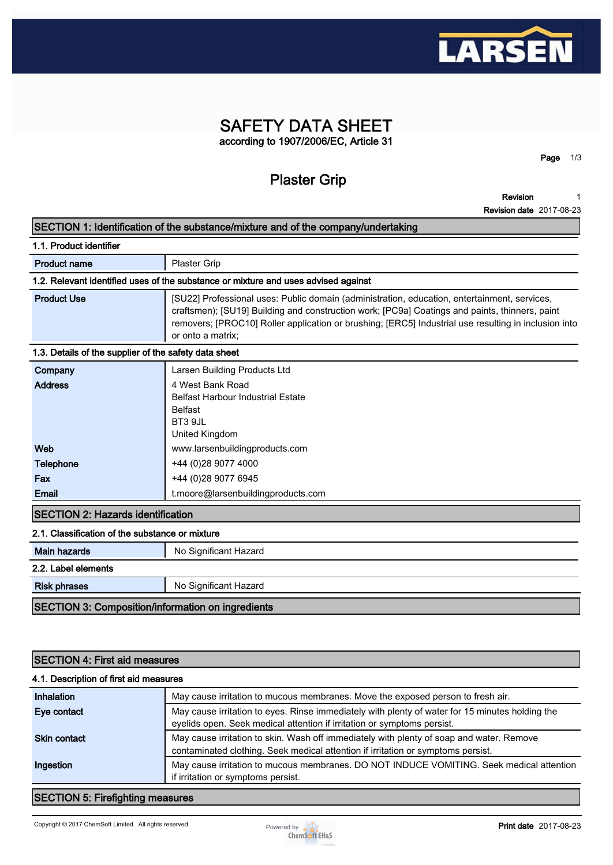

### **SAFETY DATA SHEET according to 1907/2006/EC, Article 31**

**Plaster Grip**

**Revision 1**

**Page 1/3**

|                                                                                    | <b>Revision date 2017-08-23</b>                                                                                                                                                                                                                                                                                             |  |  |
|------------------------------------------------------------------------------------|-----------------------------------------------------------------------------------------------------------------------------------------------------------------------------------------------------------------------------------------------------------------------------------------------------------------------------|--|--|
| SECTION 1: Identification of the substance/mixture and of the company/undertaking  |                                                                                                                                                                                                                                                                                                                             |  |  |
| 1.1. Product identifier                                                            |                                                                                                                                                                                                                                                                                                                             |  |  |
| <b>Product name</b>                                                                | Plaster Grip                                                                                                                                                                                                                                                                                                                |  |  |
| 1.2. Relevant identified uses of the substance or mixture and uses advised against |                                                                                                                                                                                                                                                                                                                             |  |  |
| <b>Product Use</b>                                                                 | [SU22] Professional uses: Public domain (administration, education, entertainment, services,<br>craftsmen); [SU19] Building and construction work; [PC9a] Coatings and paints, thinners, paint<br>removers; [PROC10] Roller application or brushing; [ERC5] Industrial use resulting in inclusion into<br>or onto a matrix; |  |  |
| 1.3. Details of the supplier of the safety data sheet                              |                                                                                                                                                                                                                                                                                                                             |  |  |
| Company                                                                            | Larsen Building Products Ltd                                                                                                                                                                                                                                                                                                |  |  |
| <b>Address</b>                                                                     | 4 West Bank Road<br><b>Belfast Harbour Industrial Estate</b><br><b>Belfast</b><br>BT3 9JL<br>United Kingdom                                                                                                                                                                                                                 |  |  |
| Web                                                                                | www.larsenbuildingproducts.com                                                                                                                                                                                                                                                                                              |  |  |
| <b>Telephone</b>                                                                   | +44 (0)28 9077 4000                                                                                                                                                                                                                                                                                                         |  |  |
| Fax                                                                                | +44 (0)28 9077 6945                                                                                                                                                                                                                                                                                                         |  |  |
| <b>Email</b>                                                                       | t.moore@larsenbuildingproducts.com                                                                                                                                                                                                                                                                                          |  |  |
| <b>SECTION 2: Hazards identification</b>                                           |                                                                                                                                                                                                                                                                                                                             |  |  |
| 2.1. Classification of the substance or mixture                                    |                                                                                                                                                                                                                                                                                                                             |  |  |
| <b>Main hazards</b>                                                                | No Significant Hazard                                                                                                                                                                                                                                                                                                       |  |  |
| 2.2. Label elements                                                                |                                                                                                                                                                                                                                                                                                                             |  |  |
| <b>Risk phrases</b>                                                                | No Significant Hazard                                                                                                                                                                                                                                                                                                       |  |  |
| <b>SECTION 3: Composition/information on ingredients</b>                           |                                                                                                                                                                                                                                                                                                                             |  |  |
|                                                                                    |                                                                                                                                                                                                                                                                                                                             |  |  |

### **SECTION 4: First aid measures**

### **4.1. Description of first aid measures**

| Inhalation          | May cause irritation to mucous membranes. Move the exposed person to fresh air.                                                                                              |
|---------------------|------------------------------------------------------------------------------------------------------------------------------------------------------------------------------|
| Eye contact         | May cause irritation to eyes. Rinse immediately with plenty of water for 15 minutes holding the<br>eyelids open. Seek medical attention if irritation or symptoms persist.   |
| <b>Skin contact</b> | May cause irritation to skin. Wash off immediately with plenty of soap and water. Remove<br>contaminated clothing. Seek medical attention if irritation or symptoms persist. |
| Ingestion           | May cause irritation to mucous membranes. DO NOT INDUCE VOMITING. Seek medical attention<br>if irritation or symptoms persist.                                               |

### **SECTION 5: Firefighting measures**

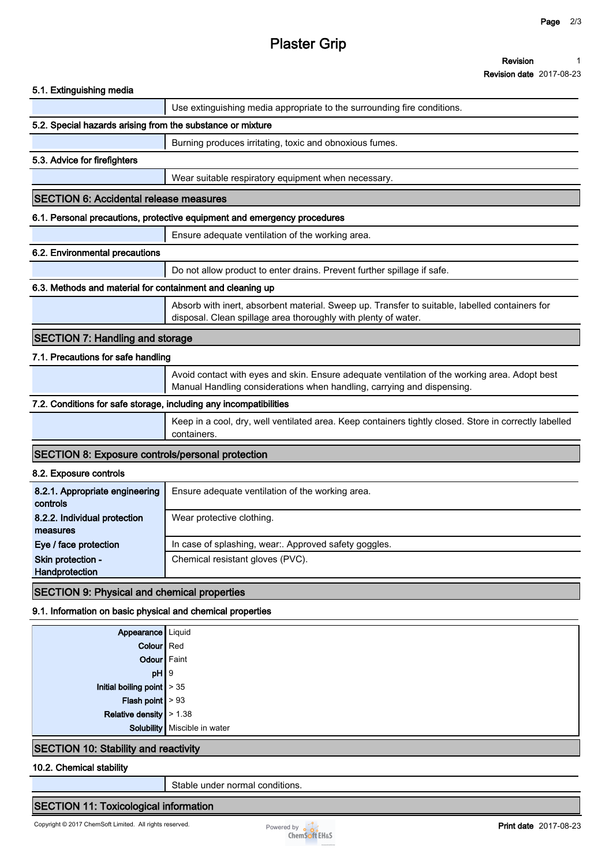# **Plaster Grip**

**Revision Revision date 2017-08-23 1**

| 5.1. Extinguishing media |  |
|--------------------------|--|
|                          |  |

### **5.1. Extinguishing media Use extinguishing media appropriate to the surrounding fire conditions. 5.2. Special hazards arising from the substance or mixture Burning produces irritating, toxic and obnoxious fumes. 5.3. Advice for firefighters Wear suitable respiratory equipment when necessary. SECTION 6: Accidental release measures 6.1. Personal precautions, protective equipment and emergency procedures Ensure adequate ventilation of the working area. 6.2. Environmental precautions Do not allow product to enter drains. Prevent further spillage if safe. 6.3. Methods and material for containment and cleaning up Absorb with inert, absorbent material. Sweep up. Transfer to suitable, labelled containers for disposal. Clean spillage area thoroughly with plenty of water. SECTION 7: Handling and storage 7.1. Precautions for safe handling Avoid contact with eyes and skin. Ensure adequate ventilation of the working area. Adopt best Manual Handling considerations when handling, carrying and dispensing. 7.2. Conditions for safe storage, including any incompatibilities Keep in a cool, dry, well ventilated area. Keep containers tightly closed. Store in correctly labelled containers. SECTION 8: Exposure controls/personal protection 8.2. Exposure controls 8.2.1. Appropriate engineering controls Ensure adequate ventilation of the working area. 8.2.2. Individual protection measures Wear protective clothing. Eye / face protection In case of splashing, wear:. Approved safety goggles. Skin protection - Handprotection Chemical resistant gloves (PVC). SECTION 9: Physical and chemical properties 9.1. Information on basic physical and chemical properties Appearance Liquid Colour** Red **Odour Faint pH 9 Initial boiling point > 35**

**Relative density > 1.38 Solubility Miscible in water**

**Flash point > 93**

### **SECTION 10: Stability and reactivity**

#### **10.2. Chemical stability**

**Stable under normal conditions.**

#### **SECTION 11: Toxicological information**